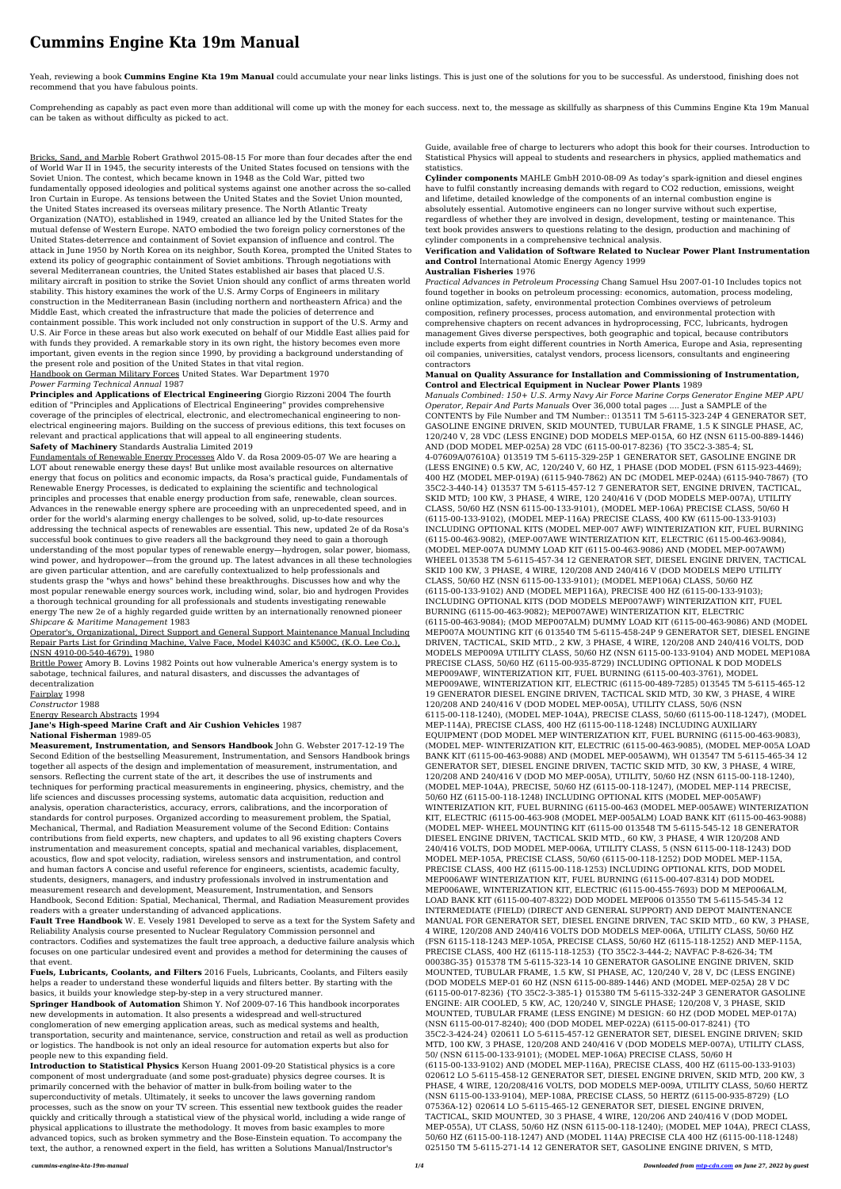# **Cummins Engine Kta 19m Manual**

Yeah, reviewing a book **Cummins Engine Kta 19m Manual** could accumulate your near links listings. This is just one of the solutions for you to be successful. As understood, finishing does not recommend that you have fabulous points.

Comprehending as capably as pact even more than additional will come up with the money for each success. next to, the message as skillfully as sharpness of this Cummins Engine Kta 19m Manual can be taken as without difficulty as picked to act.

Bricks, Sand, and Marble Robert Grathwol 2015-08-15 For more than four decades after the end of World War II in 1945, the security interests of the United States focused on tensions with the Soviet Union. The contest, which became known in 1948 as the Cold War, pitted two fundamentally opposed ideologies and political systems against one another across the so-called Iron Curtain in Europe. As tensions between the United States and the Soviet Union mounted, the United States increased its overseas military presence. The North Atlantic Treaty Organization (NATO), established in 1949, created an alliance led by the United States for the mutual defense of Western Europe. NATO embodied the two foreign policy cornerstones of the United States-deterrence and containment of Soviet expansion of influence and control. The attack in June 1950 by North Korea on its neighbor, South Korea, prompted the United States to extend its policy of geographic containment of Soviet ambitions. Through negotiations with several Mediterranean countries, the United States established air bases that placed U.S. military aircraft in position to strike the Soviet Union should any conflict of arms threaten world stability. This history examines the work of the U.S. Army Corps of Engineers in military construction in the Mediterranean Basin (including northern and northeastern Africa) and the Middle East, which created the infrastructure that made the policies of deterrence and containment possible. This work included not only construction in support of the U.S. Army and U.S. Air Force in these areas but also work executed on behalf of our Middle East allies paid for with funds they provided. A remarkable story in its own right, the history becomes even more important, given events in the region since 1990, by providing a background understanding of the present role and position of the United States in that vital region. Handbook on German Military Forces United States. War Department 1970

*Power Farming Technical Annual* 1987

**Principles and Applications of Electrical Engineering** Giorgio Rizzoni 2004 The fourth edition of "Principles and Applications of Electrical Engineering" provides comprehensive coverage of the principles of electrical, electronic, and electromechanical engineering to nonelectrical engineering majors. Building on the success of previous editions, this text focuses on relevant and practical applications that will appeal to all engineering students. **Safety of Machinery** Standards Australia Limited 2019

Fundamentals of Renewable Energy Processes Aldo V. da Rosa 2009-05-07 We are hearing a LOT about renewable energy these days! But unlike most available resources on alternative energy that focus on politics and economic impacts, da Rosa's practical guide, Fundamentals of Renewable Energy Processes, is dedicated to explaining the scientific and technological principles and processes that enable energy production from safe, renewable, clean sources. Advances in the renewable energy sphere are proceeding with an unprecedented speed, and in order for the world's alarming energy challenges to be solved, solid, up-to-date resources addressing the technical aspects of renewables are essential. This new, updated 2e of da Rosa's successful book continues to give readers all the background they need to gain a thorough understanding of the most popular types of renewable energy—hydrogen, solar power, biomass, wind power, and hydropower—from the ground up. The latest advances in all these technologies are given particular attention, and are carefully contextualized to help professionals and students grasp the "whys and hows" behind these breakthroughs. Discusses how and why the most popular renewable energy sources work, including wind, solar, bio and hydrogen Provides a thorough technical grounding for all professionals and students investigating renewable energy The new 2e of a highly regarded guide written by an internationally renowned pioneer *Shipcare & Maritime Management* 1983

Operator's, Organizational, Direct Support and General Support Maintenance Manual Including

Repair Parts List for Grinding Machine, Valve Face, Model K403C and K500C, (K.O. Lee Co.), (NSN 4910-00-540-4679). 1980

Brittle Power Amory B. Lovins 1982 Points out how vulnerable America's energy system is to sabotage, technical failures, and natural disasters, and discusses the advantages of decentralization

Fairplay 1998

*Constructor* 1988

Energy Research Abstracts 1994

**Jane's High-speed Marine Craft and Air Cushion Vehicles** 1987 **National Fisherman** 1989-05

**Measurement, Instrumentation, and Sensors Handbook** John G. Webster 2017-12-19 The Second Edition of the bestselling Measurement, Instrumentation, and Sensors Handbook brings together all aspects of the design and implementation of measurement, instrumentation, and sensors. Reflecting the current state of the art, it describes the use of instruments and techniques for performing practical measurements in engineering, physics, chemistry, and the life sciences and discusses processing systems, automatic data acquisition, reduction and analysis, operation characteristics, accuracy, errors, calibrations, and the incorporation of standards for control purposes. Organized according to measurement problem, the Spatial, Mechanical, Thermal, and Radiation Measurement volume of the Second Edition: Contains contributions from field experts, new chapters, and updates to all 96 existing chapters Covers instrumentation and measurement concepts, spatial and mechanical variables, displacement, acoustics, flow and spot velocity, radiation, wireless sensors and instrumentation, and control and human factors A concise and useful reference for engineers, scientists, academic faculty, students, designers, managers, and industry professionals involved in instrumentation and measurement research and development, Measurement, Instrumentation, and Sensors Handbook, Second Edition: Spatial, Mechanical, Thermal, and Radiation Measurement provides readers with a greater understanding of advanced applications.

**Fault Tree Handbook** W. E. Vesely 1981 Developed to serve as a text for the System Safety and Reliability Analysis course presented to Nuclear Regulatory Commission personnel and contractors. Codifies and systematizes the fault tree approach, a deductive failure analysis which focuses on one particular undesired event and provides a method for determining the causes of that event.

**Fuels, Lubricants, Coolants, and Filters** 2016 Fuels, Lubricants, Coolants, and Filters easily helps a reader to understand these wonderful liquids and filters better. By starting with the basics, it builds your knowledge step-by-step in a very structured manner.

**Springer Handbook of Automation** Shimon Y. Nof 2009-07-16 This handbook incorporates new developments in automation. It also presents a widespread and well-structured conglomeration of new emerging application areas, such as medical systems and health, transportation, security and maintenance, service, construction and retail as well as production or logistics. The handbook is not only an ideal resource for automation experts but also for people new to this expanding field.

**Introduction to Statistical Physics** Kerson Huang 2001-09-20 Statistical physics is a core component of most undergraduate (and some post-graduate) physics degree courses. It is primarily concerned with the behavior of matter in bulk-from boiling water to the superconductivity of metals. Ultimately, it seeks to uncover the laws governing random processes, such as the snow on your TV screen. This essential new textbook guides the reader quickly and critically through a statistical view of the physical world, including a wide range of physical applications to illustrate the methodology. It moves from basic examples to more advanced topics, such as broken symmetry and the Bose-Einstein equation. To accompany the text, the author, a renowned expert in the field, has written a Solutions Manual/Instructor's

Guide, available free of charge to lecturers who adopt this book for their courses. Introduction to Statistical Physics will appeal to students and researchers in physics, applied mathematics and statistics.

**Cylinder components** MAHLE GmbH 2010-08-09 As today's spark-ignition and diesel engines have to fulfil constantly increasing demands with regard to CO2 reduction, emissions, weight and lifetime, detailed knowledge of the components of an internal combustion engine is absolutely essential. Automotive engineers can no longer survive without such expertise, regardless of whether they are involved in design, development, testing or maintenance. This text book provides answers to questions relating to the design, production and machining of cylinder components in a comprehensive technical analysis.

## **Verification and Validation of Software Related to Nuclear Power Plant Instrumentation and Control** International Atomic Energy Agency 1999

### **Australian Fisheries** 1976

*Practical Advances in Petroleum Processing* Chang Samuel Hsu 2007-01-10 Includes topics not found together in books on petroleum processing: economics, automation, process modeling, online optimization, safety, environmental protection Combines overviews of petroleum composition, refinery processes, process automation, and environmental protection with comprehensive chapters on recent advances in hydroprocessing, FCC, lubricants, hydrogen management Gives diverse perspectives, both geographic and topical, because contributors include experts from eight different countries in North America, Europe and Asia, representing oil companies, universities, catalyst vendors, process licensors, consultants and engineering contractors

### **Manual on Quality Assurance for Installation and Commissioning of Instrumentation, Control and Electrical Equipment in Nuclear Power Plants** 1989

*Manuals Combined: 150+ U.S. Army Navy Air Force Marine Corps Generator Engine MEP APU Operator, Repair And Parts Manuals* Over 36,000 total pages .... Just a SAMPLE of the CONTENTS by File Number and TM Number:: 013511 TM 5-6115-323-24P 4 GENERATOR SET, GASOLINE ENGINE DRIVEN, SKID MOUNTED, TUBULAR FRAME, 1.5 K SINGLE PHASE, AC, 120/240 V, 28 VDC (LESS ENGINE) DOD MODELS MEP-015A, 60 HZ (NSN 6115-00-889-1446) AND (DOD MODEL MEP-025A) 28 VDC (6115-00-017-8236) {TO 35C2-3-385-4; SL 4-07609A/07610A} 013519 TM 5-6115-329-25P 1 GENERATOR SET, GASOLINE ENGINE DR (LESS ENGINE) 0.5 KW, AC, 120/240 V, 60 HZ, 1 PHASE (DOD MODEL (FSN 6115-923-4469); 400 HZ (MODEL MEP-019A) (6115-940-7862) AN DC (MODEL MEP-024A) (6115-940-7867) {TO 35C2-3-440-14} 013537 TM 5-6115-457-12 7 GENERATOR SET, ENGINE DRIVEN, TACTICAL, SKID MTD; 100 KW, 3 PHASE, 4 WIRE, 120 240/416 V (DOD MODELS MEP-007A), UTILITY CLASS, 50/60 HZ (NSN 6115-00-133-9101), (MODEL MEP-106A) PRECISE CLASS, 50/60 H (6115-00-133-9102), (MODEL MEP-116A) PRECISE CLASS, 400 KW (6115-00-133-9103) INCLUDING OPTIONAL KITS (MODEL MEP-007 AWF) WINTERIZATION KIT, FUEL BURNING (6115-00-463-9082), (MEP-007AWE WINTERIZATION KIT, ELECTRIC (6115-00-463-9084), (MODEL MEP-007A DUMMY LOAD KIT (6115-00-463-9086) AND (MODEL MEP-007AWM) WHEEL 013538 TM 5-6115-457-34 12 GENERATOR SET, DIESEL ENGINE DRIVEN, TACTICAL SKID 100 KW, 3 PHASE, 4 WIRE, 120/208 AND 240/416 V (DOD MODELS MEP0 UTILITY CLASS, 50/60 HZ (NSN 6115-00-133-9101); (MODEL MEP106A) CLASS, 50/60 HZ (6115-00-133-9102) AND (MODEL MEP116A), PRECISE 400 HZ (6115-00-133-9103); INCLUDING OPTIONAL KITS (DOD MODELS MEP007AWF) WINTERIZATION KIT, FUEL BURNING (6115-00-463-9082); MEP007AWE) WINTERIZATION KIT, ELECTRIC (6115-00-463-9084); (MOD MEP007ALM) DUMMY LOAD KIT (6115-00-463-9086) AND (MODEL MEP007A MOUNTING KIT (6 013540 TM 5-6115-458-24P 9 GENERATOR SET, DIESEL ENGINE DRIVEN, TACTICAL, SKID MTD., 2 KW, 3 PHASE, 4 WIRE, 120/208 AND 240/416 VOLTS, DOD MODELS MEP009A UTILITY CLASS, 50/60 HZ (NSN 6115-00-133-9104) AND MODEL MEP108A PRECISE CLASS, 50/60 HZ (6115-00-935-8729) INCLUDING OPTIONAL K DOD MODELS MEP009AWF, WINTERIZATION KIT, FUEL BURNING (6115-00-403-3761), MODEL MEP009AWE, WINTERIZATION KIT, ELECTRIC (6115-00-489-7285) 013545 TM 5-6115-465-12 19 GENERATOR DIESEL ENGINE DRIVEN, TACTICAL SKID MTD, 30 KW, 3 PHASE, 4 WIRE 120/208 AND 240/416 V (DOD MODEL MEP-005A), UTILITY CLASS, 50/6 (NSN 6115-00-118-1240), (MODEL MEP-104A), PRECISE CLASS, 50/60 (6115-00-118-1247), (MODEL MEP-114A), PRECISE CLASS, 400 HZ (6115-00-118-1248) INCLUDING AUXILIARY EQUIPMENT (DOD MODEL MEP WINTERIZATION KIT, FUEL BURNING (6115-00-463-9083), (MODEL MEP- WINTERIZATION KIT, ELECTRIC (6115-00-463-9085), (MODEL MEP-005A LOAD BANK KIT (6115-00-463-9088) AND (MODEL MEP-005AWM), WH 013547 TM 5-6115-465-34 12 GENERATOR SET, DIESEL ENGINE DRIVEN, TACTIC SKID MTD, 30 KW, 3 PHASE, 4 WIRE, 120/208 AND 240/416 V (DOD MO MEP-005A), UTILITY, 50/60 HZ (NSN 6115-00-118-1240), (MODEL MEP-104A), PRECISE, 50/60 HZ (6115-00-118-1247), (MODEL MEP-114 PRECISE, 50/60 HZ (6115-00-118-1248) INCLUDING OPTIONAL KITS (MODEL MEP-005AWF) WINTERIZATION KIT, FUEL BURNING (6115-00-463 (MODEL MEP-005AWE) WINTERIZATION KIT, ELECTRIC (6115-00-463-908 (MODEL MEP-005ALM) LOAD BANK KIT (6115-00-463-9088) (MODEL MEP- WHEEL MOUNTING KIT (6115-00 013548 TM 5-6115-545-12 18 GENERATOR DIESEL ENGINE DRIVEN, TACTICAL SKID MTD., 60 KW, 3 PHASE, 4 WIR 120/208 AND 240/416 VOLTS, DOD MODEL MEP-006A, UTILITY CLASS, 5 (NSN 6115-00-118-1243) DOD MODEL MEP-105A, PRECISE CLASS, 50/60 (6115-00-118-1252) DOD MODEL MEP-115A, PRECISE CLASS, 400 HZ (6115-00-118-1253) INCLUDING OPTIONAL KITS, DOD MODEL MEP006AWF WINTERIZATION KIT, FUEL BURNING (6115-00-407-8314) DOD MODEL MEP006AWE, WINTERIZATION KIT, ELECTRIC (6115-00-455-7693) DOD M MEP006ALM, LOAD BANK KIT (6115-00-407-8322) DOD MODEL MEP006 013550 TM 5-6115-545-34 12 INTERMEDIATE (FIELD) (DIRECT AND GENERAL SUPPORT) AND DEPOT MAINTENANCE MANUAL FOR GENERATOR SET, DIESEL ENGINE DRIVEN, TAC SKID MTD., 60 KW, 3 PHASE, 4 WIRE, 120/208 AND 240/416 VOLTS DOD MODELS MEP-006A, UTILITY CLASS, 50/60 HZ (FSN 6115-118-1243 MEP-105A, PRECISE CLASS, 50/60 HZ (6115-118-1252) AND MEP-115A, PRECISE CLASS, 400 HZ (6115-118-1253) {TO 35C2-3-444-2; NAVFAC P-8-626-34; TM 00038G-35} 015378 TM 5-6115-323-14 10 GENERATOR GASOLINE ENGINE DRIVEN, SKID MOUNTED, TUBULAR FRAME, 1.5 KW, SI PHASE, AC, 120/240 V, 28 V, DC (LESS ENGINE) (DOD MODELS MEP-01 60 HZ (NSN 6115-00-889-1446) AND (MODEL MEP-025A) 28 V DC (6115-00-017-8236) {TO 35C2-3-385-1} 015380 TM 5-6115-332-24P 3 GENERATOR GASOLINE ENGINE: AIR COOLED, 5 KW, AC, 120/240 V, SINGLE PHASE; 120/208 V, 3 PHASE, SKID MOUNTED, TUBULAR FRAME (LESS ENGINE) M DESIGN: 60 HZ (DOD MODEL MEP-017A) (NSN 6115-00-017-8240); 400 (DOD MODEL MEP-022A) (6115-00-017-8241) {TO 35C2-3-424-24} 020611 LO 5-6115-457-12 GENERATOR SET, DIESEL ENGINE DRIVEN; SKID MTD, 100 KW, 3 PHASE, 120/208 AND 240/416 V (DOD MODELS MEP-007A), UTILITY CLASS, 50/ (NSN 6115-00-133-9101); (MODEL MEP-106A) PRECISE CLASS, 50/60 H (6115-00-133-9102) AND (MODEL MEP-116A), PRECISE CLASS, 400 HZ (6115-00-133-9103) 020612 LO 5-6115-458-12 GENERATOR SET, DIESEL ENGINE DRIVEN, SKID MTD, 200 KW, 3 PHASE, 4 WIRE, 120/208/416 VOLTS, DOD MODELS MEP-009A, UTILITY CLASS, 50/60 HERTZ (NSN 6115-00-133-9104), MEP-108A, PRECISE CLASS, 50 HERTZ (6115-00-935-8729) {LO 07536A-12} 020614 LO 5-6115-465-12 GENERATOR SET, DIESEL ENGINE DRIVEN, TACTICAL, SKID MOUNTED, 30 3 PHASE, 4 WIRE, 120/206 AND 240/416 V (DOD MODEL MEP-055A), UT CLASS, 50/60 HZ (NSN 6115-00-118-1240); (MODEL MEP 104A), PRECI CLASS, 50/60 HZ (6115-00-118-1247) AND (MODEL 114A) PRECISE CLA 400 HZ (6115-00-118-1248) 025150 TM 5-6115-271-14 12 GENERATOR SET, GASOLINE ENGINE DRIVEN, S MTD,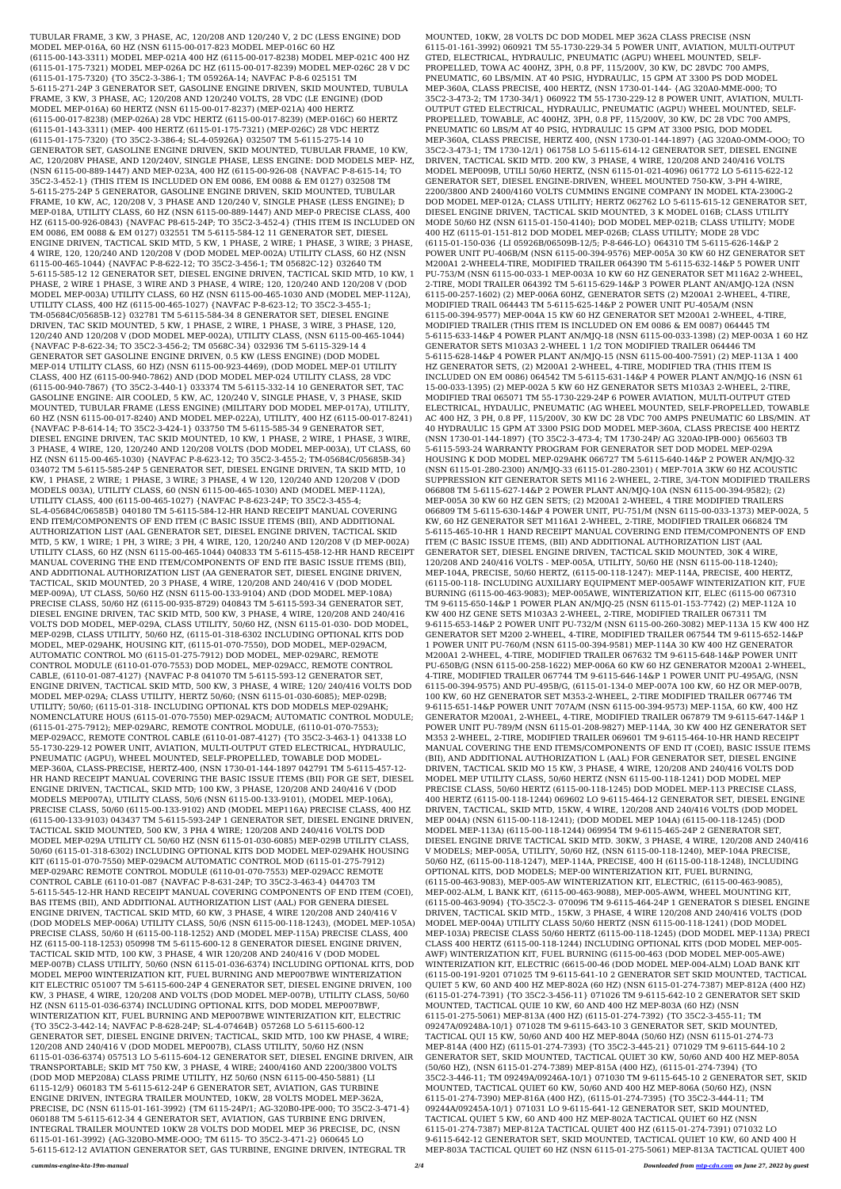TUBULAR FRAME, 3 KW, 3 PHASE, AC, 120/208 AND 120/240 V, 2 DC (LESS ENGINE) DOD MODEL MEP-016A, 60 HZ (NSN 6115-00-017-823 MODEL MEP-016C 60 HZ (6115-00-143-3311) MODEL MEP-021A 400 HZ (6115-00-017-8238) MODEL MEP-021C 400 HZ (6115-01-175-7321) MODEL MEP-026A DC HZ (6115-00-017-8239) MODEL MEP-026C 28 V DC (6115-01-175-7320) {TO 35C2-3-386-1; TM 05926A-14; NAVFAC P-8-6 025151 TM 5-6115-271-24P 3 GENERATOR SET, GASOLINE ENGINE DRIVEN, SKID MOUNTED, TUBULA FRAME, 3 KW, 3 PHASE, AC; 120/208 AND 120/240 VOLTS, 28 VDC (LE ENGINE) (DOD MODEL MEP-016A) 60 HERTZ (NSN 6115-00-017-8237) (MEP-021A) 400 HERTZ (6115-00-017-8238) (MEP-026A) 28 VDC HERTZ (6115-00-017-8239) (MEP-016C) 60 HERTZ (6115-01-143-3311) (MEP- 400 HERTZ (6115-01-175-7321) (MEP-026C) 28 VDC HERTZ (6115-01-175-7320) {TO 35C2-3-386-4; SL-4-05926A} 032507 TM 5-6115-275-14 10 GENERATOR SET, GASOLINE ENGINE DRIVEN, SKID MOUNTED, TUBULAR FRAME, 10 KW, AC, 120/208V PHASE, AND 120/240V, SINGLE PHASE, LESS ENGINE: DOD MODELS MEP- HZ, (NSN 6115-00-889-1447) AND MEP-023A, 400 HZ (6115-00-926-08 {NAVFAC P-8-615-14; TO 35C2-3-452-1} (THIS ITEM IS INCLUDED ON EM 0086, EM 0088 & EM 0127) 032508 TM 5-6115-275-24P 5 GENERATOR, GASOLINE ENGINE DRIVEN, SKID MOUNTED, TUBULAR FRAME, 10 KW, AC, 120/208 V, 3 PHASE AND 120/240 V, SINGLE PHASE (LESS ENGINE); D MEP-018A, UTILITY CLASS, 60 HZ (NSN 6115-00-889-1447) AND MEP-0 PRECISE CLASS, 400 HZ (6115-00-926-0843) {NAVFAC P8-615-24P; TO 35C2-3-452-4} (THIS ITEM IS INCLUDED ON EM 0086, EM 0088 & EM 0127) 032551 TM 5-6115-584-12 11 GENERATOR SET, DIESEL ENGINE DRIVEN, TACTICAL SKID MTD, 5 KW, 1 PHASE, 2 WIRE; 1 PHASE, 3 WIRE; 3 PHASE, 4 WIRE, 120, 120/240 AND 120/208 V (DOD MODEL MEP-002A) UTILITY CLASS, 60 HZ (NSN 6115-00-465-1044) {NAVFAC P-8-622-12; TO 35C2-3-456-1; TM 05682C-12} 032640 TM 5-6115-585-12 12 GENERATOR SET, DIESEL ENGINE DRIVEN, TACTICAL SKID MTD, 10 KW, 1 PHASE, 2 WIRE 1 PHASE, 3 WIRE AND 3 PHASE, 4 WIRE; 120, 120/240 AND 120/208 V (DOD MODEL MEP-003A) UTILITY CLASS, 60 HZ (NSN 6115-00-465-1030 AND (MODEL MEP-112A), UTILITY CLASS, 400 HZ (6115-00-465-1027) {NAVFAC P-8-623-12; TO 35C2-3-455-1; TM-05684C/05685B-12} 032781 TM 5-6115-584-34 8 GENERATOR SET, DIESEL ENGINE DRIVEN, TAC SKID MOUNTED, 5 KW, 1 PHASE, 2 WIRE, 1 PHASE, 3 WIRE, 3 PHASE, 120, 120/240 AND 120/208 V (DOD MODEL MEP-002A), UTILITY CLASS, (NSN 6115-00-465-1044) {NAVFAC P-8-622-34; TO 35C2-3-456-2; TM 0568C-34} 032936 TM 5-6115-329-14 4 GENERATOR SET GASOLINE ENGINE DRIVEN, 0.5 KW (LESS ENGINE) (DOD MODEL MEP-014 UTILITY CLASS, 60 HZ) (NSN 6115-00-923-4469), (DOD MODEL MEP-01 UTILITY CLASS, 400 HZ (6115-00-940-7862) AND (DOD MODEL MEP-024 UTILITY CLASS, 28 VDC (6115-00-940-7867) {TO 35C2-3-440-1} 033374 TM 5-6115-332-14 10 GENERATOR SET, TAC GASOLINE ENGINE: AIR COOLED, 5 KW, AC, 120/240 V, SINGLE PHASE, V, 3 PHASE, SKID MOUNTED, TUBULAR FRAME (LESS ENGINE) (MILITARY DOD MODEL MEP-017A), UTILITY, 60 HZ (NSN 6115-00-017-8240) AND MODEL MEP-022A), UTILITY, 400 HZ (6115-00-017-8241) {NAVFAC P-8-614-14; TO 35C2-3-424-1} 033750 TM 5-6115-585-34 9 GENERATOR SET, DIESEL ENGINE DRIVEN, TAC SKID MOUNTED, 10 KW, 1 PHASE, 2 WIRE, 1 PHASE, 3 WIRE, 3 PHASE, 4 WIRE, 120, 120/240 AND 120/208 VOLTS (DOD MODEL MEP-003A), UT CLASS, 60 HZ (NSN 6115-00-465-1030) {NAVFAC P-8-623-12; TO 35C2-3-455-2; TM-05684C/05685B-34} 034072 TM 5-6115-585-24P 5 GENERATOR SET, DIESEL ENGINE DRIVEN, TA SKID MTD, 10 KW, 1 PHASE, 2 WIRE; 1 PHASE, 3 WIRE; 3 PHASE, 4 W 120, 120/240 AND 120/208 V (DOD MODELS 003A), UTILITY CLASS, 60 (NSN 6115-00-465-1030) AND (MODEL MEP-112A), UTILITY CLASS, 400 (6115-00-465-1027) {NAVFAC P-8-623-24P; TO 35C2-3-455-4; SL-4-05684C/06585B} 040180 TM 5-6115-584-12-HR HAND RECEIPT MANUAL COVERING END ITEM/COMPONENTS OF END ITEM (C BASIC ISSUE ITEMS (BII), AND ADDITIONAL AUTHORIZATION LIST (AAL GENERATOR SET, DIESEL ENGINE DRIVEN, TACTICAL SKID MTD, 5 KW, 1 WIRE; 1 PH, 3 WIRE; 3 PH, 4 WIRE, 120, 120/240 AND 120/208 V (D MEP-002A) UTILITY CLASS, 60 HZ (NSN 6115-00-465-1044) 040833 TM 5-6115-458-12-HR HAND RECEIPT MANUAL COVERING THE END ITEM/COMPONENTS OF END ITE BASIC ISSUE ITEMS (BII), AND ADDITIONAL AUTHORIZATION LIST (AA GENERATOR SET, DIESEL ENGINE DRIVEN, TACTICAL, SKID MOUNTED, 20 3 PHASE, 4 WIRE, 120/208 AND 240/416 V (DOD MODEL MEP-009A), UT CLASS, 50/60 HZ (NSN 6115-00-133-9104) AND (DOD MODEL MEP-108A) PRECISE CLASS, 50/60 HZ (6115-00-935-8729) 040843 TM 5-6115-593-34 GENERATOR SET, DIESEL ENGINE DRIVEN, TAC SKID MTD, 500 KW, 3 PHASE, 4 WIRE, 120/208 AND 240/416 VOLTS DOD MODEL, MEP-029A, CLASS UTILITY, 50/60 HZ, (NSN 6115-01-030- DOD MODEL, MEP-029B, CLASS UTILITY, 50/60 HZ, (6115-01-318-6302 INCLUDING OPTIONAL KITS DOD MODEL, MEP-029AHK, HOUSING KIT, (6115-01-070-7550), DOD MODEL, MEP-029ACM, AUTOMATIC CONTROL MO (6115-01-275-7912) DOD MODEL, MEP-029ARC, REMOTE CONTROL MODULE (6110-01-070-7553) DOD MODEL, MEP-029ACC, REMOTE CONTROL CABLE, (6110-01-087-4127) {NAVFAC P-8 041070 TM 5-6115-593-12 GENERATOR SET, ENGINE DRIVEN, TACTICAL SKID MTD, 500 KW, 3 PHASE, 4 WIRE; 120/ 240/416 VOLTS DOD MODEL MEP-029A; CLASS UTILITY, HERTZ 50/60; (NSN 6115-01-030-6085); MEP-029B; UTILITY; 50/60; (6115-01-318- INCLUDING OPTIONAL KTS DOD MODELS MEP-029AHK; NOMENCLATURE HOUS (6115-01-070-7550) MEP-029ACM; AUTOMATIC CONTROL MODULE; (6115-01-275-7912); MEP-029ARC, REMOTE CONTROL MODULE, (6110-01-070-7553); MEP-029ACC, REMOTE CONTROL CABLE (6110-01-087-4127) {TO 35C2-3-463-1} 041338 LO 55-1730-229-12 POWER UNIT, AVIATION, MULTI-OUTPUT GTED ELECTRICAL, HYDRAULIC, PNEUMATIC (AGPU), WHEEL MOUNTED, SELF-PROPELLED, TOWABLE DOD MODEL-MEP-360A, CLASS-PRECISE, HERTZ-400, (NSN 1730-01-144-1897 042791 TM 5-6115-457-12- HR HAND RECEIPT MANUAL COVERING THE BASIC ISSUE ITEMS (BII) FOR GE SET, DIESEL ENGINE DRIVEN, TACTICAL, SKID MTD; 100 KW, 3 PHASE, 120/208 AND 240/416 V (DOD MODELS MEP007A), UTILITY CLASS, 50/6 (NSN 6115-00-133-9101), (MODEL MEP-106A), PRECISE CLASS, 50/60 (6115-00-133-9102) AND (MODEL MEP116A) PRECISE CLASS, 400 HZ (6115-00-133-9103) 043437 TM 5-6115-593-24P 1 GENERATOR SET, DIESEL ENGINE DRIVEN, TACTICAL SKID MOUNTED, 500 KW, 3 PHA 4 WIRE; 120/208 AND 240/416 VOLTS DOD MODEL MEP-029A UTILITY CL 50/60 HZ (NSN 6115-01-030-6085) MEP-029B UTILITY CLASS, 50/60 (6115-01-318-6302) INCLUDING OPTIONAL KITS DOD MODEL MEP-029AHK HOUSING KIT (6115-01-070-7550) MEP-029ACM AUTOMATIC CONTROL MOD (6115-01-275-7912) MEP-029ARC REMOTE CONTROL MODULE (6110-01-070-7553) MEP-029ACC REMOTE CONTROL CABLE (6110-01-087 {NAVFAC P-8-631-24P; TO 35C2-3-463-4} 044703 TM 5-6115-545-12-HR HAND RECEIPT MANUAL COVERING COMPONENTS OF END ITEM (COEI), BAS ITEMS (BII), AND ADDITIONAL AUTHORIZATION LIST (AAL) FOR GENERA DIESEL ENGINE DRIVEN, TACTICAL SKID MTD, 60 KW, 3 PHASE, 4 WIRE 120/208 AND 240/416 V (DOD MODELS MEP-006A) UTILITY CLASS, 50/6 (NSN 6115-00-118-1243), (MODEL MEP-105A) PRECISE CLASS, 50/60 H (6115-00-118-1252) AND (MODEL MEP-115A) PRECISE CLASS, 400 HZ (6115-00-118-1253) 050998 TM 5-6115-600-12 8 GENERATOR DIESEL ENGINE DRIVEN, TACTICAL SKID MTD, 100 KW, 3 PHASE, 4 WIR 120/208 AND 240/416 V (DOD MODEL MEP-007B) CLASS UTILITY, 50/60 (NSN 6115-01-036-6374) INCLUDING OPTIONAL KITS, DOD MODEL MEP00 WINTERIZATION KIT, FUEL BURNING AND MEP007BWE WINTERIZATION KIT ELECTRIC 051007 TM 5-6115-600-24P 4 GENERATOR SET, DIESEL ENGINE DRIVEN, 100 KW, 3 PHASE, 4 WIRE, 120/208 AND VOLTS (DOD MODEL MEP-007B), UTILITY CLASS, 50/60 HZ (NSN 6115-01-036-6374) INCLUDING OPTIONAL KITS, DOD MODEL MEP007BWF, WINTERIZATION KIT, FUEL BURNING AND MEP007BWE WINTERIZATION KIT, ELECTRIC {TO 35C2-3-442-14; NAVFAC P-8-628-24P; SL-4-07464B} 057268 LO 5-6115-600-12 GENERATOR SET, DIESEL ENGINE DRIVEN; TACTICAL, SKID MTD, 100 KW PHASE, 4 WIRE; 120/208 AND 240/416 V (DOD MODEL MEP007B), CLASS UTILITY, 50/60 HZ (NSN 6115-01-036-6374) 057513 LO 5-6115-604-12 GENERATOR SET, DIESEL ENGINE DRIVEN, AIR TRANSPORTABLE; SKID MT 750 KW, 3 PHASE, 4 WIRE; 2400/4160 AND 2200/3800 VOLTS (DOD MOD MEP208A) CLASS PRIME UTILITY, HZ 50/60 (NSN 6115-00-450-5881) {LI 6115-12/9} 060183 TM 5-6115-612-24P 6 GENERATOR SET, AVIATION, GAS TURBINE ENGINE DRIVEN, INTEGRA TRAILER MOUNTED, 10KW, 28 VOLTS MODEL MEP-362A, PRECISE, DC (NSN 6115-01-161-3992) {TM 6115-24P/1; AG-320B0-IPE-000; TO 35C2-3-471-4} 060188 TM 5-6115-612-34 4 GENERATOR SET, AVIATION, GAS TURBINE ENG DRIVEN, INTEGRAL TRAILER MOUNTED 10KW 28 VOLTS DOD MODEL MEP 36 PRECISE, DC, (NSN 6115-01-161-3992) {AG-320BO-MME-OOO; TM 6115- TO 35C2-3-471-2} 060645 LO 5-6115-612-12 AVIATION GENERATOR SET, GAS TURBINE, ENGINE DRIVEN, INTEGRAL TR

MOUNTED, 10KW, 28 VOLTS DC DOD MODEL MEP 362A CLASS PRECISE (NSN 6115-01-161-3992) 060921 TM 55-1730-229-34 5 POWER UNIT, AVIATION, MULTI-OUTPUT GTED, ELECTRICAL, HYDRAULIC, PNEUMATIC (AGPU) WHEEL MOUNTED, SELF-PROPELLED, TOWA AC 400HZ, 3PH, 0.8 PF, 115/200V, 30 KW, DC 28VDC 700 AMPS, PNEUMATIC, 60 LBS/MIN. AT 40 PSIG, HYDRAULIC, 15 GPM AT 3300 PS DOD MODEL MEP-360A, CLASS PRECISE, 400 HERTZ, (NSN 1730-01-144- {AG 320A0-MME-000; TO 35C2-3-473-2; TM 1730-34/1} 060922 TM 55-1730-229-12 8 POWER UNIT, AVIATION, MULTI-OUTPUT GTED ELECTRICAL, HYDRAULIC, PNEUMATIC (AGPU) WHEEL MOUNTED, SELF-PROPELLED, TOWABLE, AC 400HZ, 3PH, 0.8 PF, 115/200V, 30 KW, DC 28 VDC 700 AMPS, PNEUMATIC 60 LBS/M AT 40 PSIG, HYDRAULIC 15 GPM AT 3300 PSIG, DOD MODEL MEP-360A, CLASS PRECISE, HERTZ 400, (NSN 1730-01-144-1897) {AG 320A0-OMM-OOO; TO 35C2-3-473-1; TM 1730-12/1} 061758 LO 5-6115-614-12 GENERATOR SET, DIESEL ENGINE DRIVEN, TACTICAL SKID MTD. 200 KW, 3 PHASE, 4 WIRE, 120/208 AND 240/416 VOLTS MODEL MEP009B, UTILI 50/60 HERTZ, (NSN 6115-01-021-4096) 061772 LO 5-6115-622-12 GENERATOR SET, DIESEL ENGINE-DRIVEN, WHEEL MOUNTED 750-KW, 3-PH 4-WIRE, 2200/3800 AND 2400/4160 VOLTS CUMMINS ENGINE COMPANY IN MODEL KTA-2300G-2 DOD MODEL MEP-012A; CLASS UTILITY; HERTZ 062762 LO 5-6115-615-12 GENERATOR SET, DIESEL ENGINE DRIVEN, TACTICAL SKID MOUNTED, 3 K MODEL 016B; CLASS UTILITY MODE 50/60 HZ (NSN 6115-01-150-4140); DOD MODEL MEP-021B; CLASS UTILITY; MODE 400 HZ (6115-01-151-812 DOD MODEL MEP-026B; CLASS UTILITY; MODE 28 VDC (6115-01-150-036 {LI 05926B/06509B-12/5; P-8-646-LO} 064310 TM 5-6115-626-14&P 2 POWER UNIT PU-406B/M (NSN 6115-00-394-9576) MEP-005A 30 KW 60 HZ GENERATOR SET M200A1 2-WHEEL4-TIRE, MODIFIED TRAILER 064390 TM 5-6115-632-14&P 5 POWER UNIT PU-753/M (NSN 6115-00-033-1 MEP-003A 10 KW 60 HZ GENERATOR SET M116A2 2-WHEEL, 2-TIRE, MODI TRAILER 064392 TM 5-6115-629-14&P 3 POWER PLANT AN/AMJQ-12A (NSN 6115-00-257-1602) (2) MEP-006A 60HZ, GENERATOR SETS (2) M200A1 2-WHEEL, 4-TIRE, MODIFIED TRAIL 064443 TM 5-6115-625-14&P 2 POWER UNIT PU-405A/M (NSN 6115-00-394-9577) MEP-004A 15 KW 60 HZ GENERATOR SET M200A1 2-WHEEL, 4-TIRE, MODIFIED TRAILER (THIS ITEM IS INCLUDED ON EM 0086 & EM 0087) 064445 TM 5-6115-633-14&P 4 POWER PLANT AN/MJQ-18 (NSN 6115-00-033-1398) (2) MEP-003A 1 60 HZ GENERATOR SETS M103A3 2-WHEEL 1 1/2 TON MODIFIED TRAILER 064446 TM 5-6115-628-14&P 4 POWER PLANT AN/MJQ-15 (NSN 6115-00-400-7591) (2) MEP-113A 1 400 HZ GENERATOR SETS, (2) M200A1 2-WHEEL, 4-TIRE, MODIFIED TRA (THIS ITEM IS INCLUDED ON EM 0086) 064542 TM 5-6115-631-14&P 4 POWER PLANT AN/MJQ-16 (NSN 61 15-00-033-1395) (2) MEP-002A 5 KW 60 HZ GENERATOR SETS M103A3 2-WHEEL, 2-TIRE, MODIFIED TRAI 065071 TM 55-1730-229-24P 6 POWER AVIATION, MULTI-OUTPUT GTED ELECTRICAL, HYDAULIC, PNEUMATIC (AG WHEEL MOUNTED, SELF-PROPELLED, TOWABLE AC 400 HZ, 3 PH, 0.8 PF, 115/200V, 30 KW DC 28 VDC 700 AMPS PNEUMATIC 60 LBS/MIN. AT 40 HYDRAULIC 15 GPM AT 3300 PSIG DOD MODEL MEP-360A, CLASS PRECISE 400 HERTZ (NSN 1730-01-144-1897) {TO 35C2-3-473-4; TM 1730-24P/ AG 320A0-IPB-000} 065603 TB 5-6115-593-24 WARRANTY PROGRAM FOR GENERATOR SET DOD MODEL MEP-029A HOUSING K DOD MODEL MEP-029AHK 066727 TM 5-6115-640-14&P 2 POWER AN/MJQ-32 (NSN 6115-01-280-2300) AN/MJQ-33 (6115-01-280-2301) ( MEP-701A 3KW 60 HZ ACOUSTIC SUPPRESSION KIT GENERATOR SETS M116 2-WHEEL, 2-TIRE, 3/4-TON MODIFIED TRAILERS 066808 TM 5-6115-627-14&P 2 POWER PLANT AN/MJQ-10A (NSN 6115-00-394-9582); (2) MEP-005A 30 KW 60 HZ GEN SETS; (2) M200A1 2-WHEEL, 4 TIRE MODIFIED TRAILERS 066809 TM 5-6115-630-14&P 4 POWER UNIT, PU-751/M (NSN 6115-00-033-1373) MEP-002A, 5 KW, 60 HZ GENERATOR SET M116A1 2-WHEEL, 2-TIRE, MODIFIED TRAILER 066824 TM 5-6115-465-10-HR 1 HAND RECEIPT MANUAL COVERING END ITEM/COMPONENTS OF END ITEM (C BASIC ISSUE ITEMS, (BII) AND ADDITIONAL AUTHORIZATION LIST (AAL GENERATOR SET, DIESEL ENGINE DRIVEN, TACTICAL SKID MOUNTED, 30K 4 WIRE, 120/208 AND 240/416 VOLTS - MEP-005A, UTILITY, 50/60 HE (NSN 6115-00-118-1240); MEP-104A, PRECISE, 50/60 HERTZ, (6115-00-118-1247): MEP-114A, PRECISE, 400 HERTZ, (6115-00-118- INCLUDING AUXILIARY EQUIPMENT MEP-005AWF WINTERIZATION KIT, FUE BURNING (6115-00-463-9083); MEP-005AWE, WINTERIZATION KIT, ELEC (6115-00 067310 TM 9-6115-650-14&P 1 POWER PLAN AN/MJQ-25 (NSN 6115-01-153-7742) (2) MEP-112A 10 KW 400 HZ GENE SETS M103A3 2-WHEEL, 2-TIRE, MODIFIED TRAILER 067311 TM 9-6115-653-14&P 2 POWER UNIT PU-732/M (NSN 6115-00-260-3082) MEP-113A 15 KW 400 HZ GENERATOR SET M200 2-WHEEL, 4-TIRE, MODIFIED TRAILER 067544 TM 9-6115-652-14&P 1 POWER UNIT PU-760/M (NSN 6115-00-394-9581) MEP-114A 30 KW 400 HZ GENERATOR M200A1 2-WHEEL, 4-TIRE, MODIFIED TRAILER 067632 TM 9-6115-648-14&P POWER UNIT PU-650B/G (NSN 6115-00-258-1622) MEP-006A 60 KW 60 HZ GENERATOR M200A1 2-WHEEL, 4-TIRE, MODIFIED TRAILER 067744 TM 9-6115-646-14&P 1 POWER UNIT PU-495A/G, (NSN 6115-00-394-9575) AND PU-495B/G, (6115-01-134-0 MEP-007A 100 KW, 60 HZ OR MEP-007B, 100 KW, 60 HZ GENERATOR SET M353-2-WHEEL, 2-TIRE MODIFIED TRAILER 067746 TM 9-6115-651-14&P POWER UNIT 707A/M (NSN 6115-00-394-9573) MEP-115A, 60 KW, 400 HZ GENERATOR M200A1, 2-WHEEL, 4-TIRE, MODIFIED TRAILER 067879 TM 9-6115-647-14&P 1 POWER UNIT PU-789/M (NSN 6115-01-208-9827) MEP-114A, 30 KW 400 HZ GENERATOR SET M353 2-WHEEL, 2-TIRE, MODIFIED TRAILER 069601 TM 9-6115-464-10-HR HAND RECEIPT MANUAL COVERING THE END ITEMS/COMPONENTS OF END IT (COEI), BASIC ISSUE ITEMS (BII), AND ADDITIONAL AUTHORIZATION L (AAL) FOR GENERATOR SET, DIESEL ENGINE DRIVEN, TACTICAL SKID MO 15 KW, 3 PHASE, 4 WIRE, 120/208 AND 240/416 VOLTS DOD MODEL MEP UTILITY CLASS, 50/60 HERTZ (NSN 6115-00-118-1241) DOD MODEL MEP PRECISE CLASS, 50/60 HERTZ (6115-00-118-1245) DOD MODEL MEP-113 PRECISE CLASS, 400 HERTZ (6115-00-118-1244) 069602 LO 9-6115-464-12 GENERATOR SET, DIESEL ENGINE DRIVEN, TACTICAL, SKID MTD, 15KW, 4 WIRE, 120/208 AND 240/416 VOLTS (DOD MODEL MEP 004A) (NSN 6115-00-118-1241); (DOD MODEL MEP 104A) (6115-00-118-1245) (DOD MODEL MEP-113A) (6115-00-118-1244) 069954 TM 9-6115-465-24P 2 GENERATOR SET, DIESEL ENGINE DRIVE TACTICAL SKID MTD. 30KW, 3 PHASE, 4 WIRE, 120/208 AND 240/416 V MODELS; MEP-005A, UTILITY, 50/60 HZ, (NSN 6115-00-118-1240), MEP-104A PRECISE, 50/60 HZ, (6115-00-118-1247), MEP-114A, PRECISE, 400 H (6115-00-118-1248), INCLUDING OPTIONAL KITS, DOD MODELS; MEP-00 WINTERIZATION KIT, FUEL BURNING, (6115-00-463-9083), MEP-005-AW WINTERIZATION KIT, ELECTRIC, (6115-00-463-9085), MEP-002-ALM, L BANK KIT, (6115-00-463-9088), MEP-005-AWM, WHEEL MOUNTING KIT, (6115-00-463-9094) {TO-35C2-3- 070096 TM 9-6115-464-24P 1 GENERATOR S DIESEL ENGINE DRIVEN, TACTICAL SKID MTD., 15KW, 3 PHASE, 4 WIRE 120/208 AND 240/416 VOLTS (DOD MODEL MEP-004A) UTILITY CLASS 50/60 HERTZ (NSN 6115-00-118-1241) (DOD MODEL MEP-103A) PRECISE CLASS 50/60 HERTZ (6115-00-118-1245) (DOD MODEL MEP-113A) PRECI CLASS 400 HERTZ (6115-00-118-1244) INCLUDING OPTIONAL KITS (DOD MODEL MEP-005- AWF) WINTERIZATION KIT, FUEL BURNING (6115-00-463 (DOD MODEL MEP-005-AWE) WINTERIZATION KIT, ELECTRIC (6615-00-46 (DOD MODEL MEP-004-ALM) LOAD BANK KIT (6115-00-191-9201 071025 TM 9-6115-641-10 2 GENERATOR SET SKID MOUNTED, TACTICAL QUIET 5 KW, 60 AND 400 HZ MEP-802A (60 HZ) (NSN 6115-01-274-7387) MEP-812A (400 HZ) (6115-01-274-7391) {TO 35C2-3-456-11} 071026 TM 9-6115-642-10 2 GENERATOR SET SKID MOUNTED, TACTICAL QUIE 10 KW, 60 AND 400 HZ MEP-803A (60 HZ) (NSN 6115-01-275-5061) MEP-813A (400 HZ) (6115-01-274-7392) {TO 35C2-3-455-11; TM 09247A/09248A-10/1} 071028 TM 9-6115-643-10 3 GENERATOR SET, SKID MOUNTED, TACTICAL QUI 15 KW, 50/60 AND 400 HZ MEP-804A (50/60 HZ) (NSN 6115-01-274-73 MEP-814A (400 HZ) (6115-01-274-7393) {TO 35C2-3-445-21} 071029 TM 9-6115-644-10 2 GENERATOR SET, SKID MOUNTED, TACTICAL QUIET 30 KW, 50/60 AND 400 HZ MEP-805A (50/60 HZ), (NSN 6115-01-274-7389) MEP-815A (400 HZ), (6115-01-274-7394) {TO 35C2-3-446-11; TM 09249A/09246A-10/1} 071030 TM 9-6115-645-10 2 GENERATOR SET, SKID MOUNTED, TACTICAL QUIET 60 KW, 50/60 AND 400 HZ MEP-806A (50/60 HZ), (NSN 6115-01-274-7390) MEP-816A (400 HZ), (6115-01-274-7395) {TO 35C2-3-444-11; TM 09244A/09245A-10/1} 071031 LO 9-6115-641-12 GENERATOR SET, SKID MOUNTED, TACTICAL QUIET 5 KW, 60 AND 400 HZ MEP-802A TACTICAL QUIET 60 HZ (NSN 6115-01-274-7387) MEP-812A TACTICAL QUIET 400 HZ (6115-01-274-7391) 071032 LO 9-6115-642-12 GENERATOR SET, SKID MOUNTED, TACTICAL QUIET 10 KW, 60 AND 400 H MEP-803A TACTICAL QUIET 60 HZ (NSN 6115-01-275-5061) MEP-813A TACTICAL QUIET 400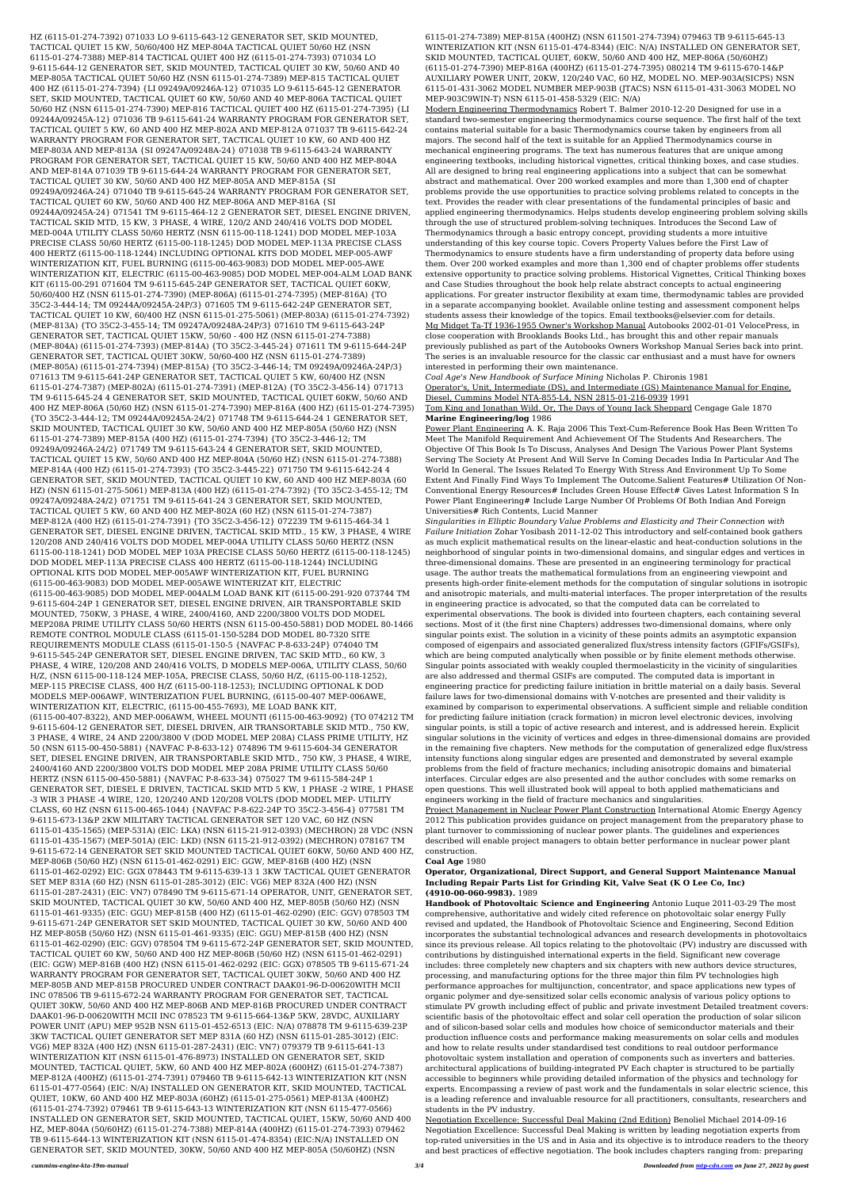HZ (6115-01-274-7392) 071033 LO 9-6115-643-12 GENERATOR SET, SKID MOUNTED, TACTICAL QUIET 15 KW, 50/60/400 HZ MEP-804A TACTICAL QUIET 50/60 HZ (NSN 6115-01-274-7388) MEP-814 TACTICAL QUIET 400 HZ (6115-01-274-7393) 071034 LO 9-6115-644-12 GENERATOR SET, SKID MOUNTED, TACTICAL QUIET 30 KW, 50/60 AND 40 MEP-805A TACTICAL QUIET 50/60 HZ (NSN 6115-01-274-7389) MEP-815 TACTICAL QUIET 400 HZ (6115-01-274-7394) {LI 09249A/09246A-12} 071035 LO 9-6115-645-12 GENERATOR SET, SKID MOUNTED, TACTICAL QUIET 60 KW, 50/60 AND 40 MEP-806A TACTICAL QUIET 50/60 HZ (NSN 6115-01-274-7390) MEP-816 TACTICAL QUIET 400 HZ (6115-01-274-7395) {LI 09244A/09245A-12} 071036 TB 9-6115-641-24 WARRANTY PROGRAM FOR GENERATOR SET, TACTICAL QUIET 5 KW, 60 AND 400 HZ MEP-802A AND MEP-812A 071037 TB 9-6115-642-24 WARRANTY PROGRAM FOR GENERATOR SET, TACTICAL QUIET 10 KW, 60 AND 400 HZ MEP-803A AND MEP-813A {SI 09247A/09248A-24} 071038 TB 9-6115-643-24 WARRANTY PROGRAM FOR GENERATOR SET, TACTICAL QUIET 15 KW, 50/60 AND 400 HZ MEP-804A AND MEP-814A 071039 TB 9-6115-644-24 WARRANTY PROGRAM FOR GENERATOR SET, TACTICAL QUIET 30 KW, 50/60 AND 400 HZ MEP-805A AND MEP-815A {SI 09249A/09246A-24} 071040 TB 9-6115-645-24 WARRANTY PROGRAM FOR GENERATOR SET, TACTICAL QUIET 60 KW, 50/60 AND 400 HZ MEP-806A AND MEP-816A {SI 09244A/09245A-24} 071541 TM 9-6115-464-12 2 GENERATOR SET, DIESEL ENGINE DRIVEN, TACTICAL SKID MTD, 15 KW, 3 PHASE, 4 WIRE, 120/2 AND 240/416 VOLTS DOD MODEL MED-004A UTILITY CLASS 50/60 HERTZ (NSN 6115-00-118-1241) DOD MODEL MEP-103A PRECISE CLASS 50/60 HERTZ (6115-00-118-1245) DOD MODEL MEP-113A PRECISE CLASS 400 HERTZ (6115-00-118-1244) INCLUDING OPTIONAL KITS DOD MODEL MEP-005-AWF WINTERIZATION KIT, FUEL BURNING (6115-00-463-9083) DOD MODEL MEP-005-AWE WINTERIZATION KIT, ELECTRIC (6115-00-463-9085) DOD MODEL MEP-004-ALM LOAD BANK KIT (6115-00-291 071604 TM 9-6115-645-24P GENERATOR SET, TACTICAL QUIET 60KW, 50/60/400 HZ (NSN 6115-01-274-7390) (MEP-806A) (6115-01-274-7395) (MEP-816A) {TO 35C2-3-444-14; TM 09244A/09245A-24P/3} 071605 TM 9-6115-642-24P GENERATOR SET, TACTICAL QUIET 10 KW, 60/400 HZ (NSN 6115-01-275-5061) (MEP-803A) (6115-01-274-7392) (MEP-813A) {TO 35C2-3-455-14; TM 09247A/09248A-24P/3} 071610 TM 9-6115-643-24P GENERATOR SET, TACTICAL QUIET 15KW, 50/60 - 400 HZ (NSN 6115-01-274-7388) (MEP-804A) (6115-01-274-7393) (MEP-814A) {TO 35C2-3-445-24} 071611 TM 9-6115-644-24P GENERATOR SET, TACTICAL QUIET 30KW, 50/60-400 HZ (NSN 6115-01-274-7389) (MEP-805A) (6115-01-274-7394) (MEP-815A) {TO 35C2-3-446-14; TM 09249A/09246A-24P/3} 071613 TM 9-6115-641-24P GENERATOR SET, TACTICAL QUIET 5 KW, 60/400 HZ (NSN 6115-01-274-7387) (MEP-802A) (6115-01-274-7391) (MEP-812A) {TO 35C2-3-456-14} 071713 TM 9-6115-645-24 4 GENERATOR SET, SKID MOUNTED, TACTICAL QUIET 60KW, 50/60 AND 400 HZ MEP-806A (50/60 HZ) (NSN 6115-01-274-7390) MEP-816A (400 HZ) (6115-01-274-7395) {TO 35C2-3-444-12; TM 09244A/09245A-24/2} 071748 TM 9-6115-644-24 1 GENERATOR SET, SKID MOUNTED, TACTICAL QUIET 30 KW, 50/60 AND 400 HZ MEP-805A (50/60 HZ) (NSN 6115-01-274-7389) MEP-815A (400 HZ) (6115-01-274-7394) {TO 35C2-3-446-12; TM 09249A/09246A-24/2} 071749 TM 9-6115-643-24 4 GENERATOR SET, SKID MOUNTED, TACTICAL QUIET 15 KW, 50/60 AND 400 HZ MEP-804A (50/60 HZ) (NSN 6115-01-274-7388) MEP-814A (400 HZ) (6115-01-274-7393) {TO 35C2-3-445-22} 071750 TM 9-6115-642-24 4 GENERATOR SET, SKID MOUNTED, TACTICAL QUIET 10 KW, 60 AND 400 HZ MEP-803A (60 HZ) (NSN 6115-01-275-5061) MEP-813A (400 HZ) (6115-01-274-7392) {TO 35C2-3-455-12; TM 09247A/09248A-24/2} 071751 TM 9-6115-641-24 3 GENERATOR SET, SKID MOUNTED, TACTICAL QUIET 5 KW, 60 AND 400 HZ MEP-802A (60 HZ) (NSN 6115-01-274-7387) MEP-812A (400 HZ) (6115-01-274-7391) {TO 35C2-3-456-12} 072239 TM 9-6115-464-34 1 GENERATOR SET, DIESEL ENGINE DRIVEN, TACTICAL SKID MTD., 15 KW, 3 PHASE, 4 WIRE 120/208 AND 240/416 VOLTS DOD MODEL MEP-004A UTILITY CLASS 50/60 HERTZ (NSN 6115-00-118-1241) DOD MODEL MEP 103A PRECISE CLASS 50/60 HERTZ (6115-00-118-1245) DOD MODEL MEP-113A PRECISE CLASS 400 HERTZ (6115-00-118-1244) INCLUDING OPTIONAL KITS DOD MODEL MEP-005AWF WINTERIZATION KIT, FUEL BURNING (6115-00-463-9083) DOD MODEL MEP-005AWE WINTERIZAT KIT, ELECTRIC (6115-00-463-9085) DOD MODEL MEP-004ALM LOAD BANK KIT (6115-00-291-920 073744 TM 9-6115-604-24P 1 GENERATOR SET, DIESEL ENGINE DRIVEN, AIR TRANSPORTABLE SKID MOUNTED, 750KW, 3 PHASE, 4 WIRE, 2400/4160, AND 2200/3800 VOLTS DOD MODEL MEP208A PRIME UTILITY CLASS 50/60 HERTS (NSN 6115-00-450-5881) DOD MODEL 80-1466 REMOTE CONTROL MODULE CLASS (6115-01-150-5284 DOD MODEL 80-7320 SITE REQUIREMENTS MODULE CLASS (6115-01-150-5 {NAVFAC P-8-633-24P} 074040 TM 9-6115-545-24P GENERATOR SET, DIESEL ENGINE DRIVEN, TAC SKID MTD., 60 KW, 3 PHASE, 4 WIRE, 120/208 AND 240/416 VOLTS, D MODELS MEP-006A, UTILITY CLASS, 50/60 H/Z, (NSN 6115-00-118-124 MEP-105A, PRECISE CLASS, 50/60 H/Z, (6115-00-118-1252), MEP-115 PRECISE CLASS, 400 H/Z (6115-00-118-1253); INCLUDING OPTIONAL K DOD MODELS MEP-006AWF, WINTERIZATION FUEL BURNING, (6115-00-407 MEP-006AWE, WINTERIZATION KIT, ELECTRIC, (6115-00-455-7693), ME LOAD BANK KIT, (6115-00-407-8322), AND MEP-006AWM, WHEEL MOUNTI (6115-00-463-9092) {TO 074212 TM 9-6115-604-12 GENERATOR SET, DIESEL DRIVEN, AIR TRANSORTABLE SKID MTD., 750 KW, 3 PHASE, 4 WIRE, 24 AND 2200/3800 V (DOD MODEL MEP 208A) CLASS PRIME UTILITY, HZ 50 (NSN 6115-00-450-5881) {NAVFAC P-8-633-12} 074896 TM 9-6115-604-34 GENERATOR SET, DIESEL ENGINE DRIVEN, AIR TRANSPORTABLE SKID MTD., 750 KW, 3 PHASE, 4 WIRE, 2400/4160 AND 2200/3800 VOLTS DOD MODEL MEP 208A PRIME UTILITY CLASS 50/60 HERTZ (NSN 6115-00-450-5881) {NAVFAC P-8-633-34} 075027 TM 9-6115-584-24P 1 GENERATOR SET, DIESEL E DRIVEN, TACTICAL SKID MTD 5 KW, 1 PHASE -2 WIRE, 1 PHASE -3 WIR 3 PHASE -4 WIRE, 120, 120/240 AND 120/208 VOLTS (DOD MODEL MEP- UTILITY CLASS, 60 HZ (NSN 6115-00-465-1044) {NAVFAC P-8-622-24P TO 35C2-3-456-4} 077581 TM 9-6115-673-13&P 2KW MILITARY TACTICAL GENERATOR SET 120 VAC, 60 HZ (NSN 6115-01-435-1565) (MEP-531A) (EIC: LKA) (NSN 6115-21-912-0393) (MECHRON) 28 VDC (NSN 6115-01-435-1567) (MEP-501A) (EIC: LKD) (NSN 6115-21-912-0392) (MECHRON) 078167 TM 9-6115-672-14 GENERATOR SET SKID MOUNTED TACTICAL QUIET 60KW, 50/60 AND 400 HZ, MEP-806B (50/60 HZ) (NSN 6115-01-462-0291) EIC: GGW, MEP-816B (400 HZ) (NSN 6115-01-462-0292) EIC: GGX 078443 TM 9-6115-639-13 1 3KW TACTICAL QUIET GENERATOR SET MEP 831A (60 HZ) (NSN 6115-01-285-3012) (EIC: VG6) MEP 832A (400 HZ) (NSN 6115-01-287-2431) (EIC: VN7) 078490 TM 9-6115-671-14 OPERATOR, UNIT, GENERATOR SET, SKID MOUNTED, TACTICAL QUIET 30 KW, 50/60 AND 400 HZ, MEP-805B (50/60 HZ) (NSN 6115-01-461-9335) (EIC: GGU) MEP-815B (400 HZ) (6115-01-462-0290) (EIC: GGV) 078503 TM 9-6115-671-24P GENERATOR SET SKID MOUNTED, TACTICAL QUIET 30 KW, 50/60 AND 400 HZ MEP-805B (50/60 HZ) (NSN 6115-01-461-9335) (EIC: GGU) MEP-815B (400 HZ) (NSN 6115-01-462-0290) (EIC: GGV) 078504 TM 9-6115-672-24P GENERATOR SET, SKID MOUNTED, TACTICAL QUIET 60 KW, 50/60 AND 400 HZ MEP-806B (50/60 HZ) (NSN 6115-01-462-0291) (EIC: GGW) MEP-816B (400 HZ) (NSN 6115-01-462-0292 (EIC: GGX) 078505 TB 9-6115-671-24 WARRANTY PROGRAM FOR GENERATOR SET, TACTICAL QUIET 30KW, 50/60 AND 400 HZ MEP-805B AND MEP-815B PROCURED UNDER CONTRACT DAAK01-96-D-00620WITH MCII INC 078506 TB 9-6115-672-24 WARRANTY PROGRAM FOR GENERATOR SET, TACTICAL QUIET 30KW, 50/60 AND 400 HZ MEP-806B AND MEP-816B PROCURED UNDER CONTRACT DAAK01-96-D-00620WITH MCII INC 078523 TM 9-6115-664-13&P 5KW, 28VDC, AUXILIARY POWER UNIT (APU) MEP 952B NSN 6115-01-452-6513 (EIC: N/A) 078878 TM 9-6115-639-23P 3KW TACTICAL QUIET GENERATOR SET MEP 831A (60 HZ) (NSN 6115-01-285-3012) (EIC: VG6) MEP 832A (400 HZ) (NSN 6115-01-287-2431) (EIC: VN7) 079379 TB 9-6115-641-13 WINTERIZATION KIT (NSN 6115-01-476-8973) INSTALLED ON GENERATOR SET, SKID MOUNTED, TACTICAL QUIET, 5KW, 60 AND 400 HZ MEP-802A (600HZ) (6115-01-274-7387) MEP-812A (400HZ) (6115-01-274-7391) 079460 TB 9-6115-642-13 WINTERIZATION KIT (NSN 6115-01-477-0564) (EIC: N/A) INSTALLED ON GENERATOR KIT, SKID MOUNTED, TACTICAL QUIET, 10KW, 60 AND 400 HZ MEP-803A (60HZ) (6115-01-275-0561) MEP-813A (400HZ) (6115-01-274-7392) 079461 TB 9-6115-643-13 WINTERIZATION KIT (NSN 6115-477-0566) INSTALLED ON GENERATOR SET, SKID MOUNTED, TACTICAL QUIET, 15KW, 50/60 AND 400 HZ, MEP-804A (50/60HZ) (6115-01-274-7388) MEP-814A (400HZ) (6115-01-274-7393) 079462 TB 9-6115-644-13 WINTERIZATION KIT (NSN 6115-01-474-8354) (EIC:N/A) INSTALLED ON GENERATOR SET, SKID MOUNTED, 30KW, 50/60 AND 400 HZ MEP-805A (50/60HZ) (NSN

6115-01-274-7389) MEP-815A (400HZ) (NSN 611501-274-7394) 079463 TB 9-6115-645-13 WINTERIZATION KIT (NSN 6115-01-474-8344) (EIC: N/A) INSTALLED ON GENERATOR SET, SKID MOUNTED, TACTICAL QUIET, 60KW, 50/60 AND 400 HZ, MEP-806A (50/60HZ) (6115-01-274-7390) MEP-816A (400HZ) (6115-01-274-7395) 080214 TM 9-6115-670-14&P AUXILIARY POWER UNIT, 20KW, 120/240 VAC, 60 HZ, MODEL NO. MEP-903A(SICPS) NSN 6115-01-431-3062 MODEL NUMBER MEP-903B (JTACS) NSN 6115-01-431-3063 MODEL NO MEP-903C9WIN-T) NSN 6115-01-458-5329 (EIC: N/A)

Modern Engineering Thermodynamics Robert T. Balmer 2010-12-20 Designed for use in a standard two-semester engineering thermodynamics course sequence. The first half of the text contains material suitable for a basic Thermodynamics course taken by engineers from all majors. The second half of the text is suitable for an Applied Thermodynamics course in mechanical engineering programs. The text has numerous features that are unique among engineering textbooks, including historical vignettes, critical thinking boxes, and case studies. All are designed to bring real engineering applications into a subject that can be somewhat abstract and mathematical. Over 200 worked examples and more than 1,300 end of chapter problems provide the use opportunities to practice solving problems related to concepts in the text. Provides the reader with clear presentations of the fundamental principles of basic and applied engineering thermodynamics. Helps students develop engineering problem solving skills through the use of structured problem-solving techniques. Introduces the Second Law of Thermodynamics through a basic entropy concept, providing students a more intuitive understanding of this key course topic. Covers Property Values before the First Law of Thermodynamics to ensure students have a firm understanding of property data before using them. Over 200 worked examples and more than 1,300 end of chapter problems offer students extensive opportunity to practice solving problems. Historical Vignettes, Critical Thinking boxes and Case Studies throughout the book help relate abstract concepts to actual engineering applications. For greater instructor flexibility at exam time, thermodynamic tables are provided in a separate accompanying booklet. Available online testing and assessment component helps students assess their knowledge of the topics. Email textbooks@elsevier.com for details. Mg Midget Ta-Tf 1936-1955 Owner's Workshop Manual Autobooks 2002-01-01 VelocePress, in close cooperation with Brooklands Books Ltd., has brought this and other repair manuals previously published as part of the Autobooks Owners Workshop Manual Series back into print. The series is an invaluable resource for the classic car enthusiast and a must have for owners interested in performing their own maintenance.

*Coal Age's New Handbook of Surface Mining* Nicholas P. Chironis 1981 Operator's, Unit, Intermediate (DS), and Intermediate (GS) Maintenance Manual for Engine, Diesel, Cummins Model NTA-855-L4, NSN 2815-01-216-0939 1991

Tom King and Jonathan Wild. Or, The Days of Young Jack Sheppard Cengage Gale 1870 **Marine Engineering/log** 1986

Power Plant Engineering A. K. Raja 2006 This Text-Cum-Reference Book Has Been Written To Meet The Manifold Requirement And Achievement Of The Students And Researchers. The Objective Of This Book Is To Discuss, Analyses And Design The Various Power Plant Systems Serving The Society At Present And Will Serve In Coming Decades India In Particular And The World In General. The Issues Related To Energy With Stress And Environment Up To Some Extent And Finally Find Ways To Implement The Outcome.Salient Features# Utilization Of Non-Conventional Energy Resources# Includes Green House Effect# Gives Latest Information S In Power Plant Engineering# Include Large Number Of Problems Of Both Indian And Foreign Universities# Rich Contents, Lucid Manner

*Singularities in Elliptic Boundary Value Problems and Elasticity and Their Connection with Failure Initiation* Zohar Yosibash 2011-12-02 This introductory and self-contained book gathers as much explicit mathematical results on the linear-elastic and heat-conduction solutions in the neighborhood of singular points in two-dimensional domains, and singular edges and vertices in three-dimensional domains. These are presented in an engineering terminology for practical usage. The author treats the mathematical formulations from an engineering viewpoint and presents high-order finite-element methods for the computation of singular solutions in isotropic and anisotropic materials, and multi-material interfaces. The proper interpretation of the results in engineering practice is advocated, so that the computed data can be correlated to experimental observations. The book is divided into fourteen chapters, each containing several sections. Most of it (the first nine Chapters) addresses two-dimensional domains, where only singular points exist. The solution in a vicinity of these points admits an asymptotic expansion composed of eigenpairs and associated generalized flux/stress intensity factors (GFIFs/GSIFs), which are being computed analytically when possible or by finite element methods otherwise. Singular points associated with weakly coupled thermoelasticity in the vicinity of singularities are also addressed and thermal GSIFs are computed. The computed data is important in engineering practice for predicting failure initiation in brittle material on a daily basis. Several failure laws for two-dimensional domains with V-notches are presented and their validity is examined by comparison to experimental observations. A sufficient simple and reliable condition for predicting failure initiation (crack formation) in micron level electronic devices, involving singular points, is still a topic of active research and interest, and is addressed herein. Explicit singular solutions in the vicinity of vertices and edges in three-dimensional domains are provided in the remaining five chapters. New methods for the computation of generalized edge flux/stress intensity functions along singular edges are presented and demonstrated by several example problems from the field of fracture mechanics; including anisotropic domains and bimaterial interfaces. Circular edges are also presented and the author concludes with some remarks on open questions. This well illustrated book will appeal to both applied mathematicians and engineers working in the field of fracture mechanics and singularities. Project Management in Nuclear Power Plant Construction International Atomic Energy Agency 2012 This publication provides guidance on project management from the preparatory phase to plant turnover to commissioning of nuclear power plants. The guidelines and experiences described will enable project managers to obtain better performance in nuclear power plant construction.

#### **Coal Age** 1980

**Operator, Organizational, Direct Support, and General Support Maintenance Manual Including Repair Parts List for Grinding Kit, Valve Seat (K O Lee Co, Inc) (4910-00-060-9983).** 1989

**Handbook of Photovoltaic Science and Engineering** Antonio Luque 2011-03-29 The most comprehensive, authoritative and widely cited reference on photovoltaic solar energy Fully revised and updated, the Handbook of Photovoltaic Science and Engineering, Second Edition incorporates the substantial technological advances and research developments in photovoltaics since its previous release. All topics relating to the photovoltaic (PV) industry are discussed with contributions by distinguished international experts in the field. Significant new coverage includes: three completely new chapters and six chapters with new authors device structures, processing, and manufacturing options for the three major thin film PV technologies high performance approaches for multijunction, concentrator, and space applications new types of organic polymer and dye-sensitized solar cells economic analysis of various policy options to stimulate PV growth including effect of public and private investment Detailed treatment covers: scientific basis of the photovoltaic effect and solar cell operation the production of solar silicon and of silicon-based solar cells and modules how choice of semiconductor materials and their production influence costs and performance making measurements on solar cells and modules and how to relate results under standardised test conditions to real outdoor performance photovoltaic system installation and operation of components such as inverters and batteries. architectural applications of building-integrated PV Each chapter is structured to be partially accessible to beginners while providing detailed information of the physics and technology for experts. Encompassing a review of past work and the fundamentals in solar electric science, this is a leading reference and invaluable resource for all practitioners, consultants, researchers and students in the PV industry.

Negotiation Excellence: Successful Deal Making (2nd Edition) Benoliel Michael 2014-09-16 Negotiation Excellence: Successful Deal Making is written by leading negotiation experts from top-rated universities in the US and in Asia and its objective is to introduce readers to the theory and best practices of effective negotiation. The book includes chapters ranging from: preparing